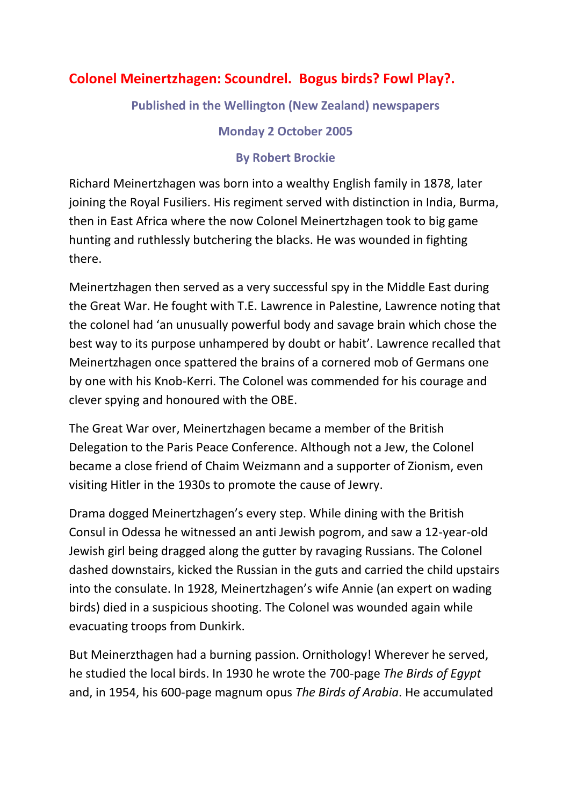## **Colonel Meinertzhagen: Scoundrel. Bogus birds? Fowl Play?.**

**Published in the Wellington (New Zealand) newspapers**

**Monday 2 October 2005**

## **By Robert Brockie**

Richard Meinertzhagen was born into a wealthy English family in 1878, later joining the Royal Fusiliers. His regiment served with distinction in India, Burma, then in East Africa where the now Colonel Meinertzhagen took to big game hunting and ruthlessly butchering the blacks. He was wounded in fighting there.

Meinertzhagen then served as a very successful spy in the Middle East during the Great War. He fought with T.E. Lawrence in Palestine, Lawrence noting that the colonel had 'an unusually powerful body and savage brain which chose the best way to its purpose unhampered by doubt or habit'. Lawrence recalled that Meinertzhagen once spattered the brains of a cornered mob of Germans one by one with his Knob-Kerri. The Colonel was commended for his courage and clever spying and honoured with the OBE.

The Great War over, Meinertzhagen became a member of the British Delegation to the Paris Peace Conference. Although not a Jew, the Colonel became a close friend of Chaim Weizmann and a supporter of Zionism, even visiting Hitler in the 1930s to promote the cause of Jewry.

Drama dogged Meinertzhagen's every step. While dining with the British Consul in Odessa he witnessed an anti Jewish pogrom, and saw a 12-year-old Jewish girl being dragged along the gutter by ravaging Russians. The Colonel dashed downstairs, kicked the Russian in the guts and carried the child upstairs into the consulate. In 1928, Meinertzhagen's wife Annie (an expert on wading birds) died in a suspicious shooting. The Colonel was wounded again while evacuating troops from Dunkirk.

But Meinerzthagen had a burning passion. Ornithology! Wherever he served, he studied the local birds. In 1930 he wrote the 700-page *The Birds of Egypt* and, in 1954, his 600-page magnum opus *The Birds of Arabia*. He accumulated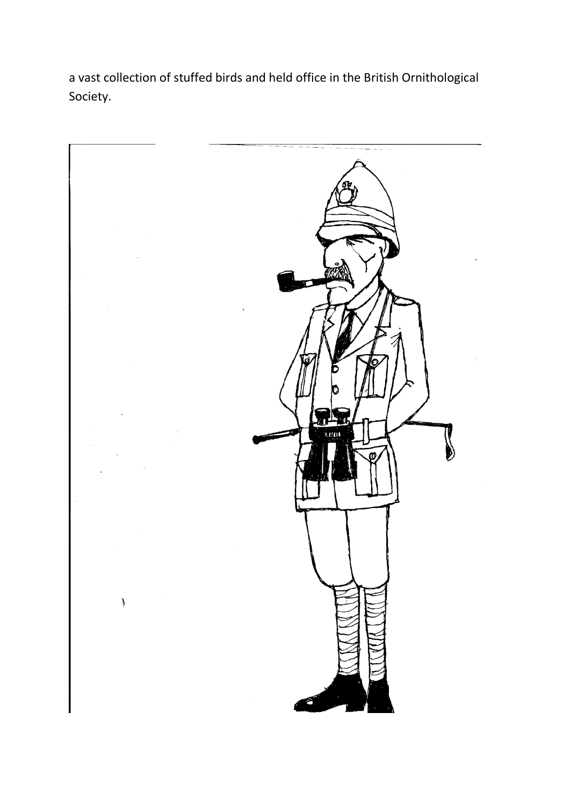a vast collection of stuffed birds and held office in the British Ornithological Society.